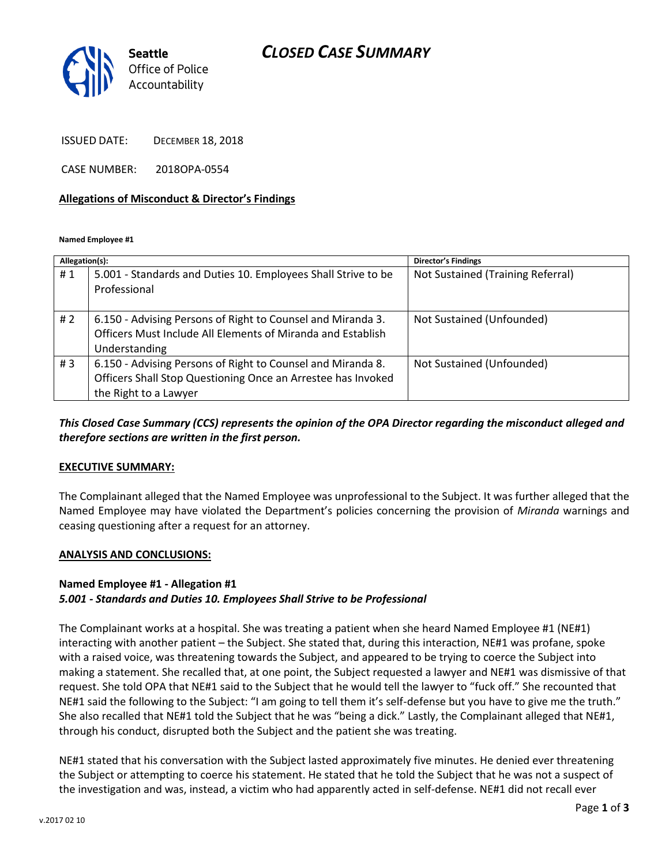## *CLOSED CASE SUMMARY*



ISSUED DATE: DECEMBER 18, 2018

CASE NUMBER: 2018OPA-0554

#### **Allegations of Misconduct & Director's Findings**

**Named Employee #1**

| Allegation(s): |                                                                                                                                                      | Director's Findings               |
|----------------|------------------------------------------------------------------------------------------------------------------------------------------------------|-----------------------------------|
| #1             | 5.001 - Standards and Duties 10. Employees Shall Strive to be<br>Professional                                                                        | Not Sustained (Training Referral) |
| # $2$          | 6.150 - Advising Persons of Right to Counsel and Miranda 3.<br>Officers Must Include All Elements of Miranda and Establish<br>Understanding          | Not Sustained (Unfounded)         |
| #3             | 6.150 - Advising Persons of Right to Counsel and Miranda 8.<br>Officers Shall Stop Questioning Once an Arrestee has Invoked<br>the Right to a Lawyer | Not Sustained (Unfounded)         |

## *This Closed Case Summary (CCS) represents the opinion of the OPA Director regarding the misconduct alleged and therefore sections are written in the first person.*

#### **EXECUTIVE SUMMARY:**

The Complainant alleged that the Named Employee was unprofessional to the Subject. It was further alleged that the Named Employee may have violated the Department's policies concerning the provision of *Miranda* warnings and ceasing questioning after a request for an attorney.

#### **ANALYSIS AND CONCLUSIONS:**

### **Named Employee #1 - Allegation #1**

### *5.001 - Standards and Duties 10. Employees Shall Strive to be Professional*

The Complainant works at a hospital. She was treating a patient when she heard Named Employee #1 (NE#1) interacting with another patient – the Subject. She stated that, during this interaction, NE#1 was profane, spoke with a raised voice, was threatening towards the Subject, and appeared to be trying to coerce the Subject into making a statement. She recalled that, at one point, the Subject requested a lawyer and NE#1 was dismissive of that request. She told OPA that NE#1 said to the Subject that he would tell the lawyer to "fuck off." She recounted that NE#1 said the following to the Subject: "I am going to tell them it's self-defense but you have to give me the truth." She also recalled that NE#1 told the Subject that he was "being a dick." Lastly, the Complainant alleged that NE#1, through his conduct, disrupted both the Subject and the patient she was treating.

NE#1 stated that his conversation with the Subject lasted approximately five minutes. He denied ever threatening the Subject or attempting to coerce his statement. He stated that he told the Subject that he was not a suspect of the investigation and was, instead, a victim who had apparently acted in self-defense. NE#1 did not recall ever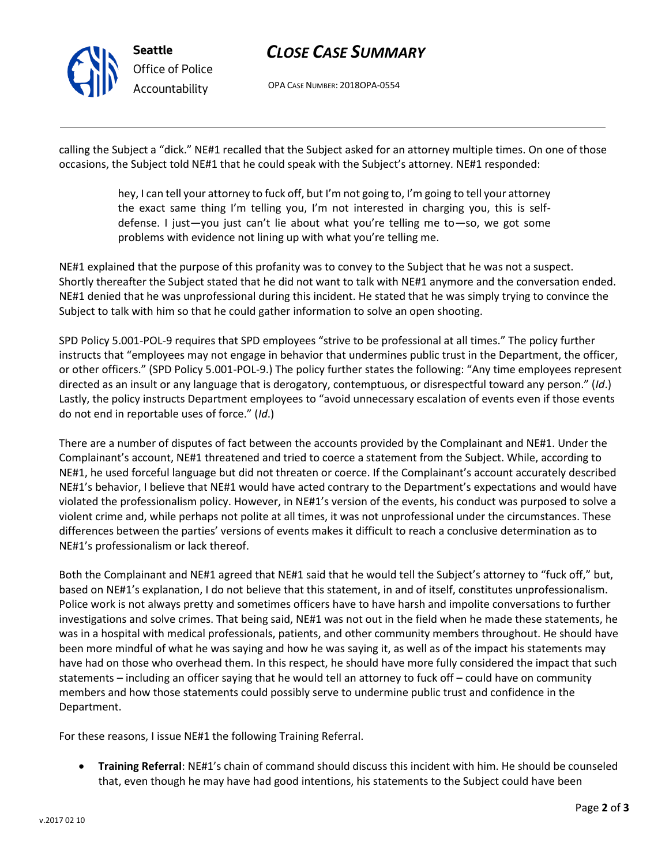

# *CLOSE CASE SUMMARY*

OPA CASE NUMBER: 2018OPA-0554

calling the Subject a "dick." NE#1 recalled that the Subject asked for an attorney multiple times. On one of those occasions, the Subject told NE#1 that he could speak with the Subject's attorney. NE#1 responded:

> hey, I can tell your attorney to fuck off, but I'm not going to, I'm going to tell your attorney the exact same thing I'm telling you, I'm not interested in charging you, this is selfdefense. I just—you just can't lie about what you're telling me to—so, we got some problems with evidence not lining up with what you're telling me.

NE#1 explained that the purpose of this profanity was to convey to the Subject that he was not a suspect. Shortly thereafter the Subject stated that he did not want to talk with NE#1 anymore and the conversation ended. NE#1 denied that he was unprofessional during this incident. He stated that he was simply trying to convince the Subject to talk with him so that he could gather information to solve an open shooting.

SPD Policy 5.001-POL-9 requires that SPD employees "strive to be professional at all times." The policy further instructs that "employees may not engage in behavior that undermines public trust in the Department, the officer, or other officers." (SPD Policy 5.001-POL-9.) The policy further states the following: "Any time employees represent directed as an insult or any language that is derogatory, contemptuous, or disrespectful toward any person." (*Id*.) Lastly, the policy instructs Department employees to "avoid unnecessary escalation of events even if those events do not end in reportable uses of force." (*Id*.)

There are a number of disputes of fact between the accounts provided by the Complainant and NE#1. Under the Complainant's account, NE#1 threatened and tried to coerce a statement from the Subject. While, according to NE#1, he used forceful language but did not threaten or coerce. If the Complainant's account accurately described NE#1's behavior, I believe that NE#1 would have acted contrary to the Department's expectations and would have violated the professionalism policy. However, in NE#1's version of the events, his conduct was purposed to solve a violent crime and, while perhaps not polite at all times, it was not unprofessional under the circumstances. These differences between the parties' versions of events makes it difficult to reach a conclusive determination as to NE#1's professionalism or lack thereof.

Both the Complainant and NE#1 agreed that NE#1 said that he would tell the Subject's attorney to "fuck off," but, based on NE#1's explanation, I do not believe that this statement, in and of itself, constitutes unprofessionalism. Police work is not always pretty and sometimes officers have to have harsh and impolite conversations to further investigations and solve crimes. That being said, NE#1 was not out in the field when he made these statements, he was in a hospital with medical professionals, patients, and other community members throughout. He should have been more mindful of what he was saying and how he was saying it, as well as of the impact his statements may have had on those who overhead them. In this respect, he should have more fully considered the impact that such statements – including an officer saying that he would tell an attorney to fuck off – could have on community members and how those statements could possibly serve to undermine public trust and confidence in the Department.

For these reasons, I issue NE#1 the following Training Referral.

• **Training Referral**: NE#1's chain of command should discuss this incident with him. He should be counseled that, even though he may have had good intentions, his statements to the Subject could have been